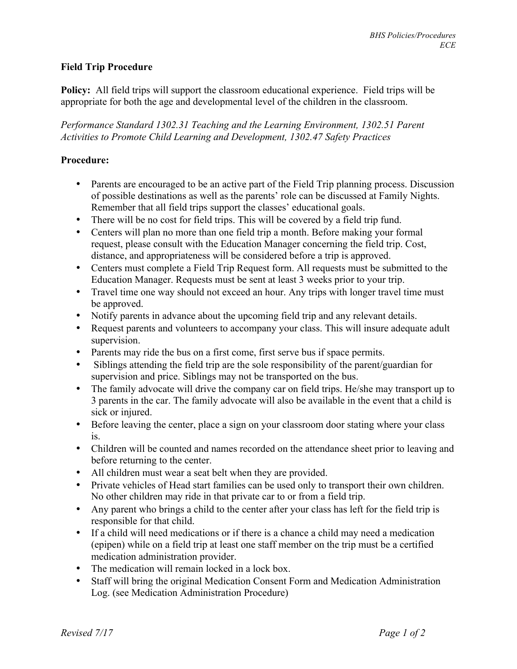## **Field Trip Procedure**

**Policy:** All field trips will support the classroom educational experience. Field trips will be appropriate for both the age and developmental level of the children in the classroom.

*Performance Standard 1302.31 Teaching and the Learning Environment, 1302.51 Parent Activities to Promote Child Learning and Development, 1302.47 Safety Practices*

## **Procedure:**

- Parents are encouraged to be an active part of the Field Trip planning process. Discussion of possible destinations as well as the parents' role can be discussed at Family Nights. Remember that all field trips support the classes' educational goals.
- There will be no cost for field trips. This will be covered by a field trip fund.
- Centers will plan no more than one field trip a month. Before making your formal request, please consult with the Education Manager concerning the field trip. Cost, distance, and appropriateness will be considered before a trip is approved.
- Centers must complete a Field Trip Request form. All requests must be submitted to the Education Manager. Requests must be sent at least 3 weeks prior to your trip.
- Travel time one way should not exceed an hour. Any trips with longer travel time must be approved.
- Notify parents in advance about the upcoming field trip and any relevant details.
- Request parents and volunteers to accompany your class. This will insure adequate adult supervision.
- Parents may ride the bus on a first come, first serve bus if space permits.
- Siblings attending the field trip are the sole responsibility of the parent/guardian for supervision and price. Siblings may not be transported on the bus.
- The family advocate will drive the company car on field trips. He/she may transport up to 3 parents in the car. The family advocate will also be available in the event that a child is sick or injured.
- Before leaving the center, place a sign on your classroom door stating where your class is.
- Children will be counted and names recorded on the attendance sheet prior to leaving and before returning to the center.
- All children must wear a seat belt when they are provided.
- Private vehicles of Head start families can be used only to transport their own children. No other children may ride in that private car to or from a field trip.
- Any parent who brings a child to the center after your class has left for the field trip is responsible for that child.
- If a child will need medications or if there is a chance a child may need a medication (epipen) while on a field trip at least one staff member on the trip must be a certified medication administration provider.
- The medication will remain locked in a lock box.
- Staff will bring the original Medication Consent Form and Medication Administration Log. (see Medication Administration Procedure)